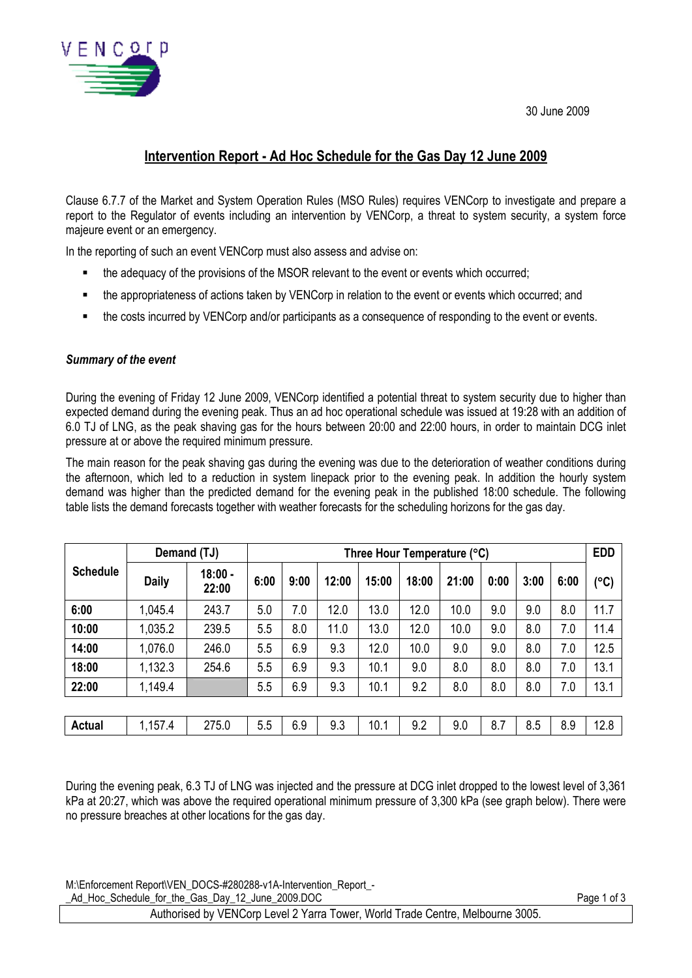30 June 2009



# **Intervention Report - Ad Hoc Schedule for the Gas Day 12 June 2009**

Clause 6.7.7 of the Market and System Operation Rules (MSO Rules) requires VENCorp to investigate and prepare a report to the Regulator of events including an intervention by VENCorp, a threat to system security, a system force majeure event or an emergency.

In the reporting of such an event VENCorp must also assess and advise on:

- the adequacy of the provisions of the MSOR relevant to the event or events which occurred;
- the appropriateness of actions taken by VENCorp in relation to the event or events which occurred; and
- the costs incurred by VENCorp and/or participants as a consequence of responding to the event or events.

#### *Summary of the event*

During the evening of Friday 12 June 2009, VENCorp identified a potential threat to system security due to higher than expected demand during the evening peak. Thus an ad hoc operational schedule was issued at 19:28 with an addition of 6.0 TJ of LNG, as the peak shaving gas for the hours between 20:00 and 22:00 hours, in order to maintain DCG inlet pressure at or above the required minimum pressure.

The main reason for the peak shaving gas during the evening was due to the deterioration of weather conditions during the afternoon, which led to a reduction in system linepack prior to the evening peak. In addition the hourly system demand was higher than the predicted demand for the evening peak in the published 18:00 schedule. The following table lists the demand forecasts together with weather forecasts for the scheduling horizons for the gas day.

|                 | Demand (TJ)  |                    | Three Hour Temperature (°C) |      |       |       |       |       |      |      | <b>EDD</b> |               |
|-----------------|--------------|--------------------|-----------------------------|------|-------|-------|-------|-------|------|------|------------|---------------|
| <b>Schedule</b> | <b>Daily</b> | $18:00 -$<br>22:00 | 6:00                        | 9:00 | 12:00 | 15:00 | 18:00 | 21:00 | 0:00 | 3:00 | 6:00       | $(^{\circ}C)$ |
| 6:00            | 1,045.4      | 243.7              | 5.0                         | 7.0  | 12.0  | 13.0  | 12.0  | 10.0  | 9.0  | 9.0  | 8.0        | 11.7          |
| 10:00           | 1,035.2      | 239.5              | 5.5                         | 8.0  | 11.0  | 13.0  | 12.0  | 10.0  | 9.0  | 8.0  | 7.0        | 11.4          |
| 14:00           | 1,076.0      | 246.0              | 5.5                         | 6.9  | 9.3   | 12.0  | 10.0  | 9.0   | 9.0  | 8.0  | 7.0        | 12.5          |
| 18:00           | 1,132.3      | 254.6              | 5.5                         | 6.9  | 9.3   | 10.1  | 9.0   | 8.0   | 8.0  | 8.0  | 7.0        | 13.1          |
| 22:00           | 1,149.4      |                    | 5.5                         | 6.9  | 9.3   | 10.1  | 9.2   | 8.0   | 8.0  | 8.0  | 7.0        | 13.1          |
|                 |              |                    |                             |      |       |       |       |       |      |      |            |               |
| <b>Actual</b>   | 1,157.4      | 275.0              | 5.5                         | 6.9  | 9.3   | 10.1  | 9.2   | 9.0   | 8.7  | 8.5  | 8.9        | 12.8          |

During the evening peak, 6.3 TJ of LNG was injected and the pressure at DCG inlet dropped to the lowest level of 3,361 kPa at 20:27, which was above the required operational minimum pressure of 3,300 kPa (see graph below). There were no pressure breaches at other locations for the gas day.

M:\Enforcement Report\VEN\_DOCS-#280288-v1A-Intervention\_Report\_-

Ad\_Hoc\_Schedule\_for\_the\_Gas\_Day\_12\_June\_2009.DOC Page 1 of 3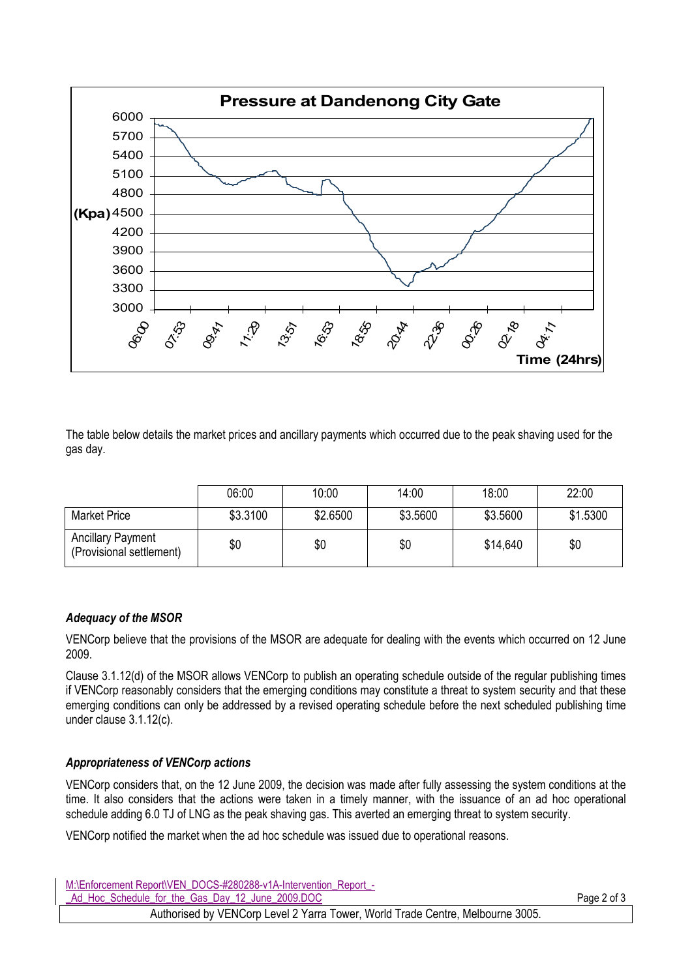

The table below details the market prices and ancillary payments which occurred due to the peak shaving used for the gas day.

|                                                      | 06:00    | 10:00    | 14:00    | 18:00    | 22:00    |
|------------------------------------------------------|----------|----------|----------|----------|----------|
| <b>Market Price</b>                                  | \$3.3100 | \$2.6500 | \$3.5600 | \$3.5600 | \$1.5300 |
| <b>Ancillary Payment</b><br>(Provisional settlement) | \$0      | \$0      | \$0      | \$14,640 | \$0      |

# *Adequacy of the MSOR*

VENCorp believe that the provisions of the MSOR are adequate for dealing with the events which occurred on 12 June 2009.

Clause 3.1.12(d) of the MSOR allows VENCorp to publish an operating schedule outside of the regular publishing times if VENCorp reasonably considers that the emerging conditions may constitute a threat to system security and that these emerging conditions can only be addressed by a revised operating schedule before the next scheduled publishing time under clause 3.1.12(c).

# *Appropriateness of VENCorp actions*

VENCorp considers that, on the 12 June 2009, the decision was made after fully assessing the system conditions at the time. It also considers that the actions were taken in a timely manner, with the issuance of an ad hoc operational schedule adding 6.0 TJ of LNG as the peak shaving gas. This averted an emerging threat to system security.

VENCorp notified the market when the ad hoc schedule was issued due to operational reasons.

| M:\Enforcement Report\VEN DOCS-#280288-v1A-Intervention Report -               |             |
|--------------------------------------------------------------------------------|-------------|
| Ad Hoc Schedule for the Gas Day 12 June 2009.DOC                               | Page 2 of 3 |
| Authorised by VENCorp Level 2 Yarra Tower, World Trade Centre, Melbourne 3005. |             |